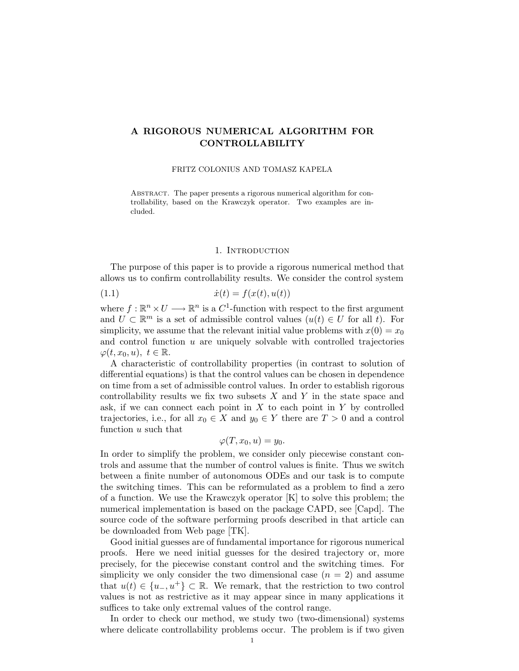# A RIGOROUS NUMERICAL ALGORITHM FOR CONTROLLABILITY

### FRITZ COLONIUS AND TOMASZ KAPELA

Abstract. The paper presents a rigorous numerical algorithm for controllability, based on the Krawczyk operator. Two examples are included.

# 1. INTRODUCTION

The purpose of this paper is to provide a rigorous numerical method that allows us to confirm controllability results. We consider the control system

(1.1) 
$$
\dot{x}(t) = f(x(t), u(t))
$$

where  $f: \mathbb{R}^n \times U \longrightarrow \mathbb{R}^n$  is a  $C^1$ -function with respect to the first argument and  $U \subset \mathbb{R}^m$  is a set of admissible control values  $(u(t) \in U$  for all t). For simplicity, we assume that the relevant initial value problems with  $x(0) = x_0$ and control function  $u$  are uniquely solvable with controlled trajectories  $\varphi(t, x_0, u), t \in \mathbb{R}.$ 

A characteristic of controllability properties (in contrast to solution of differential equations) is that the control values can be chosen in dependence on time from a set of admissible control values. In order to establish rigorous controllability results we fix two subsets  $X$  and  $Y$  in the state space and ask, if we can connect each point in  $X$  to each point in  $Y$  by controlled trajectories, i.e., for all  $x_0 \in X$  and  $y_0 \in Y$  there are  $T > 0$  and a control function u such that

$$
\varphi(T, x_0, u) = y_0.
$$

In order to simplify the problem, we consider only piecewise constant controls and assume that the number of control values is finite. Thus we switch between a finite number of autonomous ODEs and our task is to compute the switching times. This can be reformulated as a problem to find a zero of a function. We use the Krawczyk operator  $[K]$  to solve this problem; the numerical implementation is based on the package CAPD, see [Capd]. The source code of the software performing proofs described in that article can be downloaded from Web page [TK].

Good initial guesses are of fundamental importance for rigorous numerical proofs. Here we need initial guesses for the desired trajectory or, more precisely, for the piecewise constant control and the switching times. For simplicity we only consider the two dimensional case  $(n = 2)$  and assume that  $u(t) \in \{u_-, u^+\} \subset \mathbb{R}$ . We remark, that the restriction to two control values is not as restrictive as it may appear since in many applications it suffices to take only extremal values of the control range.

In order to check our method, we study two (two-dimensional) systems where delicate controllability problems occur. The problem is if two given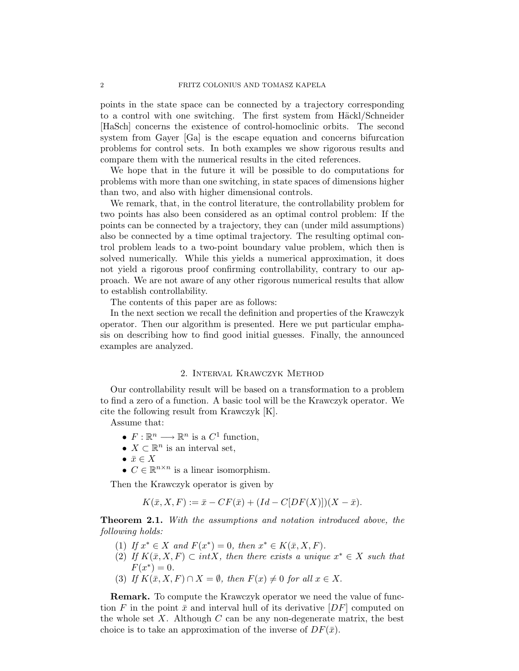points in the state space can be connected by a trajectory corresponding to a control with one switching. The first system from Häckl/Schneider [HaSch] concerns the existence of control-homoclinic orbits. The second system from Gayer [Ga] is the escape equation and concerns bifurcation problems for control sets. In both examples we show rigorous results and compare them with the numerical results in the cited references.

We hope that in the future it will be possible to do computations for problems with more than one switching, in state spaces of dimensions higher than two, and also with higher dimensional controls.

We remark, that, in the control literature, the controllability problem for two points has also been considered as an optimal control problem: If the points can be connected by a trajectory, they can (under mild assumptions) also be connected by a time optimal trajectory. The resulting optimal control problem leads to a two-point boundary value problem, which then is solved numerically. While this yields a numerical approximation, it does not yield a rigorous proof confirming controllability, contrary to our approach. We are not aware of any other rigorous numerical results that allow to establish controllability.

The contents of this paper are as follows:

In the next section we recall the definition and properties of the Krawczyk operator. Then our algorithm is presented. Here we put particular emphasis on describing how to find good initial guesses. Finally, the announced examples are analyzed.

### 2. Interval Krawczyk Method

Our controllability result will be based on a transformation to a problem to find a zero of a function. A basic tool will be the Krawczyk operator. We cite the following result from Krawczyk [K].

Assume that:

- $F: \mathbb{R}^n \longrightarrow \mathbb{R}^n$  is a  $C^1$  function,
- $X \subset \mathbb{R}^n$  is an interval set,
- $\bar{x} \in X$
- $C \in \mathbb{R}^{n \times n}$  is a linear isomorphism.

Then the Krawczyk operator is given by

$$
K(\bar{x}, X, F) := \bar{x} - CF(\bar{x}) + (Id - C[DF(X)])(X - \bar{x}).
$$

**Theorem 2.1.** With the assumptions and notation introduced above, the following holds:

- (1) If  $x^* \in X$  and  $F(x^*) = 0$ , then  $x^* \in K(\bar{x}, X, F)$ .
- (2) If  $K(\bar{x}, X, F) \subset intX$ , then there exists a unique  $x^* \in X$  such that  $F(x^*) = 0.$
- (3) If  $K(\bar{x}, X, F) \cap X = \emptyset$ , then  $F(x) \neq 0$  for all  $x \in X$ .

Remark. To compute the Krawczyk operator we need the value of function F in the point  $\bar{x}$  and interval hull of its derivative  $[DF]$  computed on the whole set  $X$ . Although  $C$  can be any non-degenerate matrix, the best choice is to take an approximation of the inverse of  $DF(\bar{x})$ .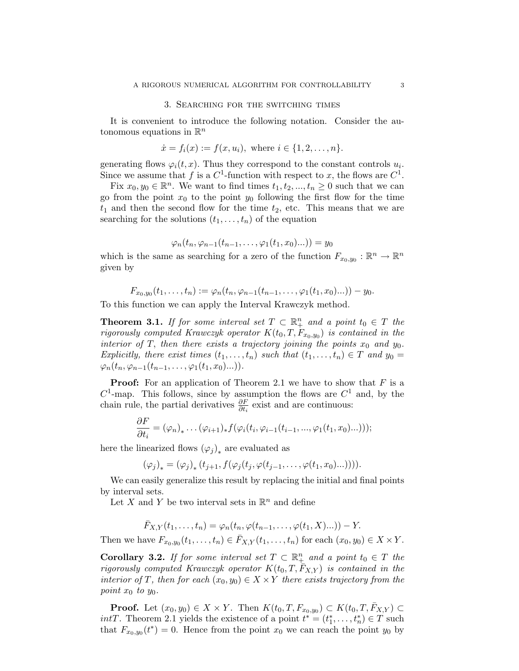#### 3. Searching for the switching times

It is convenient to introduce the following notation. Consider the autonomous equations in  $\mathbb{R}^n$ 

$$
\dot{x} = f_i(x) := f(x, u_i), \text{ where } i \in \{1, 2, ..., n\}.
$$

generating flows  $\varphi_i(t, x)$ . Thus they correspond to the constant controls  $u_i$ . Since we assume that f is a  $C^1$ -function with respect to x, the flows are  $C^1$ .

Fix  $x_0, y_0 \in \mathbb{R}^n$ . We want to find times  $t_1, t_2, ..., t_n \geq 0$  such that we can go from the point  $x_0$  to the point  $y_0$  following the first flow for the time  $t_1$  and then the second flow for the time  $t_2$ , etc. This means that we are searching for the solutions  $(t_1, \ldots, t_n)$  of the equation

$$
\varphi_n(t_n,\varphi_{n-1}(t_{n-1},\ldots,\varphi_1(t_1,x_0)\ldots))=y_0
$$

which is the same as searching for a zero of the function  $F_{x_0,y_0}: \mathbb{R}^n \to \mathbb{R}^n$ given by

$$
F_{x_0,y_0}(t_1,\ldots,t_n):=\varphi_n(t_n,\varphi_{n-1}(t_{n-1},\ldots,\varphi_1(t_1,x_0)\ldots))-y_0.
$$

To this function we can apply the Interval Krawczyk method.

**Theorem 3.1.** If for some interval set  $T \subset \mathbb{R}^n_+$  and a point  $t_0 \in T$  the rigorously computed Krawczyk operator  $K(t_0, T, F_{x_0, y_0})$  is contained in the interior of T, then there exists a trajectory joining the points  $x_0$  and  $y_0$ . Explicitly, there exist times  $(t_1, \ldots, t_n)$  such that  $(t_1, \ldots, t_n) \in T$  and  $y_0 =$  $\varphi_n(t_n, \varphi_{n-1}(t_{n-1}, \ldots, \varphi_1(t_1, x_0) \ldots)).$ 

**Proof:** For an application of Theorem 2.1 we have to show that  $F$  is a  $C^1$ -map. This follows, since by assumption the flows are  $C^1$  and, by the chain rule, the partial derivatives  $\frac{\partial F}{\partial t_i}$  exist and are continuous:

$$
\frac{\partial F}{\partial t_i} = (\varphi_n)_* \dots (\varphi_{i+1})_* f(\varphi_i(t_i, \varphi_{i-1}(t_{i-1}, ..., \varphi_1(t_1, x_0)...)))
$$

here the linearized flows  $(\varphi_j)_*$  are evaluated as

$$
(\varphi_j)_* = (\varphi_j)_* (t_{j+1}, f(\varphi_j(t_j, \varphi(t_{j-1}, \ldots, \varphi(t_1, x_0) \ldots))))
$$

We can easily generalize this result by replacing the initial and final points by interval sets.

Let X and Y be two interval sets in  $\mathbb{R}^n$  and define

$$
\bar{F}_{X,Y}(t_1,\ldots,t_n) = \varphi_n(t_n,\varphi(t_{n-1},\ldots,\varphi(t_1,X)\ldots)) - Y.
$$

Then we have  $F_{x_0,y_0}(t_1,\ldots,t_n) \in \overline{F}_{X,Y}(t_1,\ldots,t_n)$  for each  $(x_0,y_0) \in X \times Y$ .

**Corollary 3.2.** If for some interval set  $T \subset \mathbb{R}^n_+$  and a point  $t_0 \in T$  the rigorously computed Krawczyk operator  $K(t_0, T, \bar{F}_{X,Y})$  is contained in the interior of T, then for each  $(x_0, y_0) \in X \times Y$  there exists trajectory from the point  $x_0$  to  $y_0$ .

**Proof.** Let  $(x_0, y_0) \in X \times Y$ . Then  $K(t_0, T, F_{x_0, y_0}) \subset K(t_0, T, \bar{F}_{X, Y}) \subset$ *intT*. Theorem 2.1 yields the existence of a point  $t^* = (t_1^*, \ldots, t_n^*) \in T$  such that  $F_{x_0,y_0}(t^*)=0$ . Hence from the point  $x_0$  we can reach the point  $y_0$  by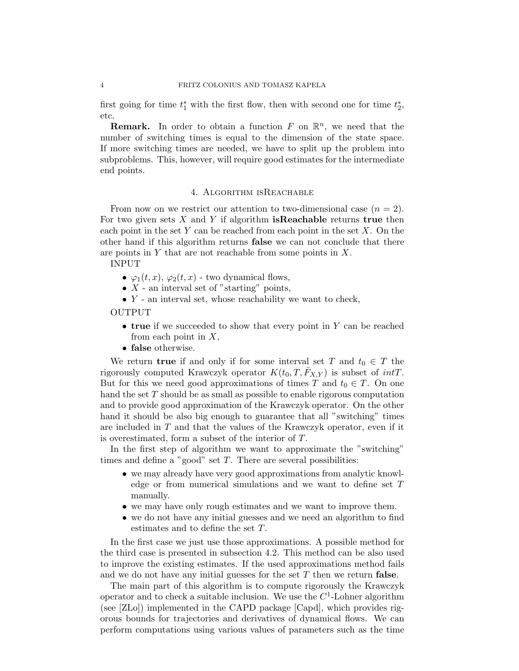first going for time  $t_1^*$  with the first flow, then with second one for time  $t_2^*$ , etc.

**Remark.** In order to obtain a function F on  $\mathbb{R}^n$ , we need that the number of switching times is equal to the dimension of the state space. If more switching times are needed, we have to split up the problem into subproblems. This, however, will require good estimates for the intermediate end points.

### 4. Algorithm isReachable

From now on we restrict our attention to two-dimensional case  $(n = 2)$ . For two given sets  $X$  and  $Y$  if algorithm **isReachable** returns **true** then each point in the set  $Y$  can be reached from each point in the set  $X$ . On the other hand if this algorithm returns false we can not conclude that there are points in  $Y$  that are not reachable from some points in  $X$ .

INPUT

- $\varphi_1(t, x)$ ,  $\varphi_2(t, x)$  two dynamical flows,
- $X$  an interval set of "starting" points,
- $\bullet$  Y an interval set, whose reachability we want to check,

OUTPUT

- true if we succeeded to show that every point in  $Y$  can be reached from each point in  $X$ ,
- false otherwise.

We return **true** if and only if for some interval set T and  $t_0 \in T$  the rigorously computed Krawczyk operator  $K(t_0, T, \bar{F}_{X,Y})$  is subset of  $intT$ . But for this we need good approximations of times T and  $t_0 \in T$ . On one hand the set  $T$  should be as small as possible to enable rigorous computation and to provide good approximation of the Krawczyk operator. On the other hand it should be also big enough to guarantee that all "switching" times are included in  $T$  and that the values of the Krawczyk operator, even if it is overestimated, form a subset of the interior of T.

In the first step of algorithm we want to approximate the "switching" times and define a "good" set  $T$ . There are several possibilities:

- we may already have very good approximations from analytic knowledge or from numerical simulations and we want to define set T manually.
- we may have only rough estimates and we want to improve them.
- we do not have any initial guesses and we need an algorithm to find estimates and to define the set T.

In the first case we just use those approximations. A possible method for the third case is presented in subsection 4.2. This method can be also used to improve the existing estimates. If the used approximations method fails and we do not have any initial guesses for the set  $T$  then we return **false**.

The main part of this algorithm is to compute rigorously the Krawczyk operator and to check a suitable inclusion. We use the  $C<sup>1</sup>$ -Lohner algorithm (see [ZLo]) implemented in the CAPD package [Capd], which provides rigorous bounds for trajectories and derivatives of dynamical flows. We can perform computations using various values of parameters such as the time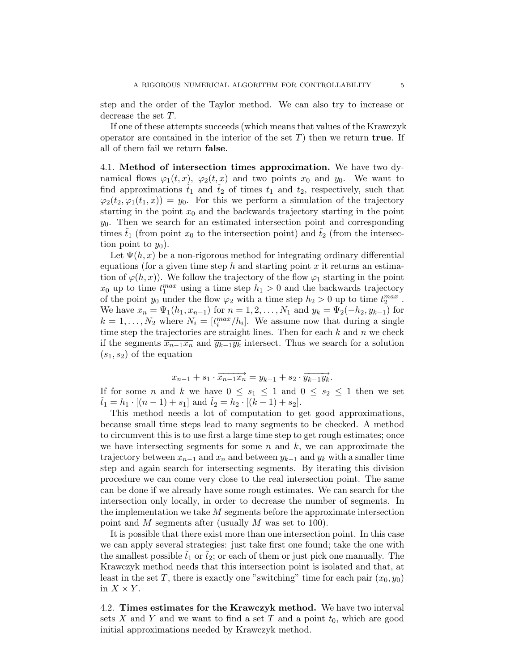step and the order of the Taylor method. We can also try to increase or decrease the set T.

If one of these attempts succeeds (which means that values of the Krawczyk operator are contained in the interior of the set  $T$ ) then we return **true**. If all of them fail we return false.

4.1. Method of intersection times approximation. We have two dynamical flows  $\varphi_1(t,x)$ ,  $\varphi_2(t,x)$  and two points  $x_0$  and  $y_0$ . We want to find approximations  $t_1$  and  $t_2$  of times  $t_1$  and  $t_2$ , respectively, such that  $\varphi_2(t_2, \varphi_1(t_1, x)) = y_0$ . For this we perform a simulation of the trajectory starting in the point  $x_0$  and the backwards trajectory starting in the point  $y_0$ . Then we search for an estimated intersection point and corresponding times  $t_1$  (from point  $x_0$  to the intersection point) and  $t_2$  (from the intersection point to  $y_0$ ).

Let  $\Psi(h, x)$  be a non-rigorous method for integrating ordinary differential equations (for a given time step h and starting point x it returns an estimation of  $\varphi(h,x)$ . We follow the trajectory of the flow  $\varphi_1$  starting in the point  $x_0$  up to time  $t_1^{max}$  using a time step  $h_1 > 0$  and the backwards trajectory of the point  $y_0$  under the flow  $\varphi_2$  with a time step  $h_2 > 0$  up to time  $t_2^{max}$ . We have  $x_n = \Psi_1(h_1, x_{n-1})$  for  $n = 1, 2, ..., N_1$  and  $y_k = \Psi_2(-h_2, y_{k-1})$  for  $k = 1, \ldots, N_2$  where  $N_i = [t_i^{max}/h_i]$ . We assume now that during a single time step the trajectories are straight lines. Then for each  $k$  and  $n$  we check if the segments  $\overline{x_{n-1}x_n}$  and  $\overline{y_{k-1}y_k}$  intersect. Thus we search for a solution  $(s_1, s_2)$  of the equation

$$
x_{n-1} + s_1 \cdot \overrightarrow{x_{n-1}x_n} = y_{k-1} + s_2 \cdot \overrightarrow{y_{k-1}y_k}.
$$

If for some *n* and *k* we have  $0 \leq s_1 \leq 1$  and  $0 \leq s_2 \leq 1$  then we set  $t_1 = h_1 \cdot [(n-1) + s_1]$  and  $t_2 = h_2 \cdot [(k-1) + s_2]$ .

This method needs a lot of computation to get good approximations, because small time steps lead to many segments to be checked. A method to circumvent this is to use first a large time step to get rough estimates; once we have intersecting segments for some  $n$  and  $k$ , we can approximate the trajectory between  $x_{n-1}$  and  $x_n$  and between  $y_{k-1}$  and  $y_k$  with a smaller time step and again search for intersecting segments. By iterating this division procedure we can come very close to the real intersection point. The same can be done if we already have some rough estimates. We can search for the intersection only locally, in order to decrease the number of segments. In the implementation we take  $M$  segments before the approximate intersection point and M segments after (usually M was set to 100).

It is possible that there exist more than one intersection point. In this case we can apply several strategies: just take first one found; take the one with the smallest possible  $t_1$  or  $t_2$ ; or each of them or just pick one manually. The Krawczyk method needs that this intersection point is isolated and that, at least in the set T, there is exactly one "switching" time for each pair  $(x_0, y_0)$ in  $X \times Y$ .

4.2. Times estimates for the Krawczyk method. We have two interval sets  $X$  and  $Y$  and we want to find a set  $T$  and a point  $t_0$ , which are good initial approximations needed by Krawczyk method.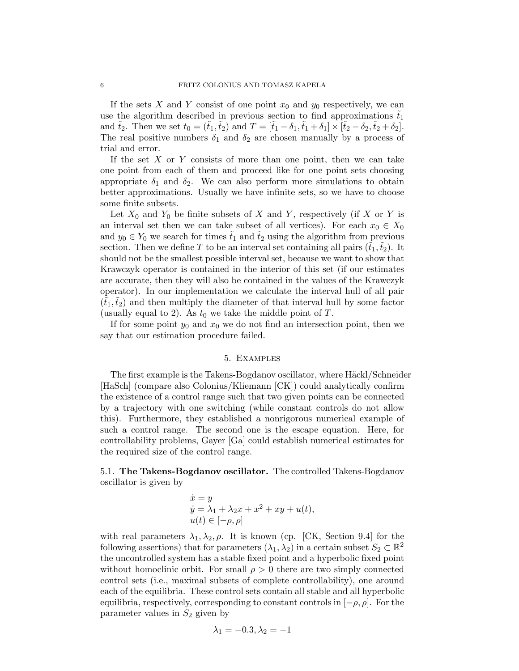If the sets X and Y consist of one point  $x_0$  and  $y_0$  respectively, we can use the algorithm described in previous section to find approximations  $t_1$ and  $\tilde{t}_2$ . Then we set  $t_0 = (\tilde{t}_1, \tilde{t}_2)$  and  $T = [\tilde{t}_1 - \delta_1, \tilde{t}_1 + \delta_1] \times [\tilde{t}_2 - \delta_2, \tilde{t}_2 + \delta_2]$ . The real positive numbers  $\delta_1$  and  $\delta_2$  are chosen manually by a process of trial and error.

If the set  $X$  or  $Y$  consists of more than one point, then we can take one point from each of them and proceed like for one point sets choosing appropriate  $\delta_1$  and  $\delta_2$ . We can also perform more simulations to obtain better approximations. Usually we have infinite sets, so we have to choose some finite subsets.

Let  $X_0$  and  $Y_0$  be finite subsets of X and Y, respectively (if X or Y is an interval set then we can take subset of all vertices). For each  $x_0 \in X_0$ and  $y_0 \in Y_0$  we search for times  $\tilde{t}_1$  and  $\tilde{t}_2$  using the algorithm from previous section. Then we define T to be an interval set containing all pairs  $(t_1, t_2)$ . It should not be the smallest possible interval set, because we want to show that Krawczyk operator is contained in the interior of this set (if our estimates are accurate, then they will also be contained in the values of the Krawczyk operator). In our implementation we calculate the interval hull of all pair  $(t_1,t_2)$  and then multiply the diameter of that interval hull by some factor (usually equal to 2). As  $t_0$  we take the middle point of T.

If for some point  $y_0$  and  $x_0$  we do not find an intersection point, then we say that our estimation procedure failed.

# 5. Examples

The first example is the Takens-Bogdanov oscillator, where Häckl/Schneider [HaSch] (compare also Colonius/Kliemann [CK]) could analytically confirm the existence of a control range such that two given points can be connected by a trajectory with one switching (while constant controls do not allow this). Furthermore, they established a nonrigorous numerical example of such a control range. The second one is the escape equation. Here, for controllability problems, Gayer [Ga] could establish numerical estimates for the required size of the control range.

5.1. The Takens-Bogdanov oscillator. The controlled Takens-Bogdanov oscillator is given by

$$
\dot{x} = y
$$
  
\n
$$
\dot{y} = \lambda_1 + \lambda_2 x + x^2 + xy + u(t),
$$
  
\n
$$
u(t) \in [-\rho, \rho]
$$

with real parameters  $\lambda_1, \lambda_2, \rho$ . It is known (cp. [CK, Section 9.4] for the following assertions) that for parameters  $(\lambda_1, \lambda_2)$  in a certain subset  $S_2 \subset \mathbb{R}^2$ the uncontrolled system has a stable fixed point and a hyperbolic fixed point without homoclinic orbit. For small  $\rho > 0$  there are two simply connected control sets (i.e., maximal subsets of complete controllability), one around each of the equilibria. These control sets contain all stable and all hyperbolic equilibria, respectively, corresponding to constant controls in  $[-\rho, \rho]$ . For the parameter values in  $S_2$  given by

$$
\lambda_1 = -0.3, \lambda_2 = -1
$$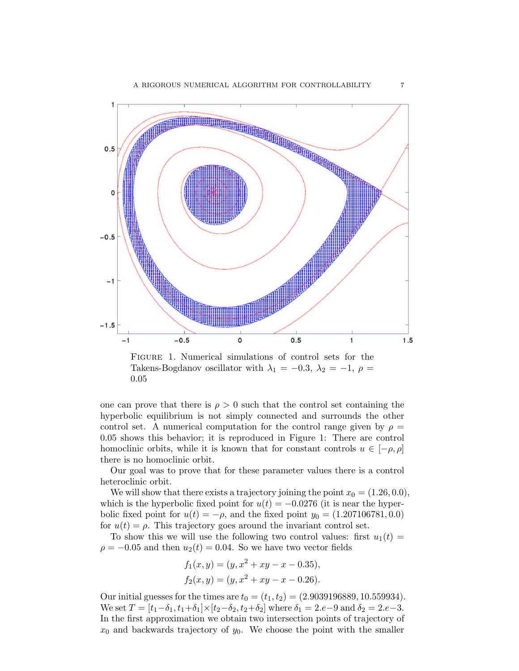

Figure 1. Numerical simulations of control sets for the Takens-Bogdanov oscillator with  $\lambda_1 = -0.3$ ,  $\lambda_2 = -1$ ,  $\rho =$ 0.05

one can prove that there is  $\rho > 0$  such that the control set containing the hyperbolic equilibrium is not simply connected and surrounds the other control set. A numerical computation for the control range given by  $\rho =$ 0.05 shows this behavior; it is reproduced in Figure 1: There are control homoclinic orbits, while it is known that for constant controls  $u \in [-\rho, \rho]$ there is no homoclinic orbit.

Our goal was to prove that for these parameter values there is a control heteroclinic orbit.

We will show that there exists a trajectory joining the point  $x_0 = (1.26, 0.0)$ , which is the hyperbolic fixed point for  $u(t) = -0.0276$  (it is near the hyperbolic fixed point for  $u(t) = -\rho$ , and the fixed point  $y_0 = (1.207106781, 0.0)$ for  $u(t) = \rho$ . This trajectory goes around the invariant control set.

To show this we will use the following two control values: first  $u_1(t) =$  $\rho = -0.05$  and then  $u_2(t) = 0.04$ . So we have two vector fields

$$
f_1(x, y) = (y, x^2 + xy - x - 0.35),
$$
  
\n
$$
f_2(x, y) = (y, x^2 + xy - x - 0.26).
$$

Our initial guesses for the times are  $t_0 = (t_1, t_2) = (2.9039196889, 10.559934)$ . We set  $T = [t_1 - \delta_1, t_1 + \delta_1] \times [t_2 - \delta_2, t_2 + \delta_2]$  where  $\delta_1 = 2.e - 9$  and  $\delta_2 = 2.e - 3$ . In the first approximation we obtain two intersection points of trajectory of  $x_0$  and backwards trajectory of  $y_0$ . We choose the point with the smaller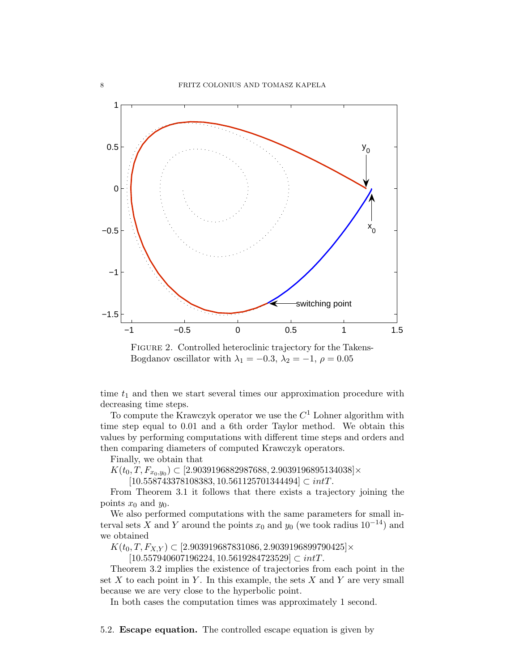

FIGURE 2. Controlled heteroclinic trajectory for the Takens-Bogdanov oscillator with  $\lambda_1 = -0.3$ ,  $\lambda_2 = -1$ ,  $\rho = 0.05$ 

time  $t_1$  and then we start several times our approximation procedure with decreasing time steps.

To compute the Krawczyk operator we use the  $C<sup>1</sup>$  Lohner algorithm with time step equal to 0.01 and a 6th order Taylor method. We obtain this values by performing computations with different time steps and orders and then comparing diameters of computed Krawczyk operators.

Finally, we obtain that

 $K(t_0, T, F_{x_0, y_0}) \subset [2.9039196882987688, 2.9039196895134038] \times$ 

 $[10.558743378108383, 10.561125701344494] \subset intT.$ 

From Theorem 3.1 it follows that there exists a trajectory joining the points  $x_0$  and  $y_0$ .

We also performed computations with the same parameters for small interval sets X and Y around the points  $x_0$  and  $y_0$  (we took radius 10<sup>-14</sup>) and we obtained

 $K(t_0, T, F_{X,Y}) \subset [2.903919687831086, 2.9039196899790425] \times$ 

 $[10.557940607196224, 10.5619284723529] \subset intT.$ 

Theorem 3.2 implies the existence of trajectories from each point in the set X to each point in Y. In this example, the sets X and Y are very small because we are very close to the hyperbolic point.

In both cases the computation times was approximately 1 second.

5.2. Escape equation. The controlled escape equation is given by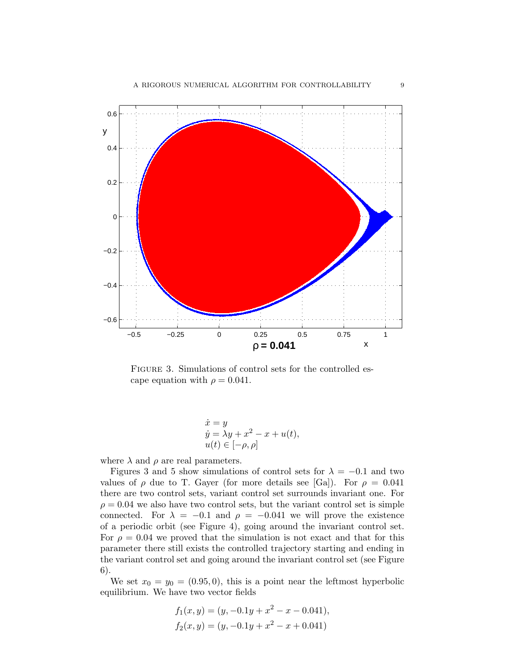

FIGURE 3. Simulations of control sets for the controlled escape equation with  $\rho = 0.041$ .

$$
\dot{x} = y
$$
  
\n
$$
\dot{y} = \lambda y + x^2 - x + u(t),
$$
  
\n
$$
u(t) \in [-\rho, \rho]
$$

where  $\lambda$  and  $\rho$  are real parameters.

Figures 3 and 5 show simulations of control sets for  $\lambda = -0.1$  and two values of  $\rho$  due to T. Gayer (for more details see [Ga]). For  $\rho = 0.041$ there are two control sets, variant control set surrounds invariant one. For  $\rho = 0.04$  we also have two control sets, but the variant control set is simple connected. For  $\lambda = -0.1$  and  $\rho = -0.041$  we will prove the existence of a periodic orbit (see Figure 4), going around the invariant control set. For  $\rho = 0.04$  we proved that the simulation is not exact and that for this parameter there still exists the controlled trajectory starting and ending in the variant control set and going around the invariant control set (see Figure 6).

We set  $x_0 = y_0 = (0.95, 0)$ , this is a point near the leftmost hyperbolic equilibrium. We have two vector fields

$$
f_1(x, y) = (y, -0.1y + x^2 - x - 0.041),
$$
  
\n
$$
f_2(x, y) = (y, -0.1y + x^2 - x + 0.041)
$$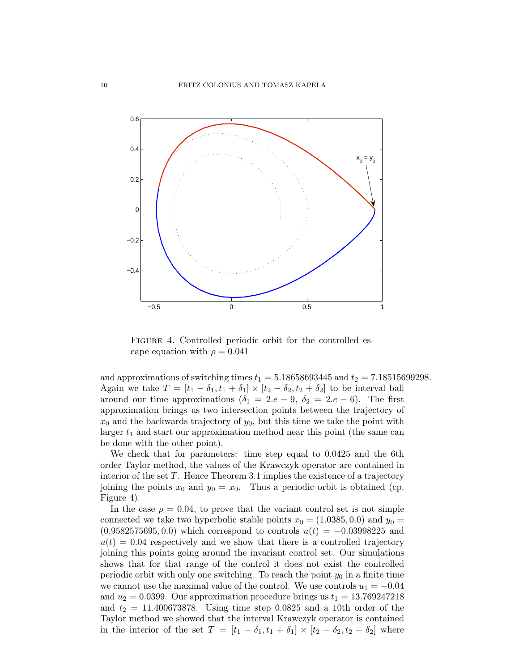

FIGURE 4. Controlled periodic orbit for the controlled escape equation with  $\rho = 0.041$ 

and approximations of switching times  $t_1 = 5.18658693445$  and  $t_2 = 7.18515699298$ . Again we take  $T = [t_1 - \delta_1, t_1 + \delta_1] \times [t_2 - \delta_2, t_2 + \delta_2]$  to be interval ball around our time approximations  $(\delta_1 = 2.e - 9, \delta_2 = 2.e - 6)$ . The first approximation brings us two intersection points between the trajectory of  $x_0$  and the backwards trajectory of  $y_0$ , but this time we take the point with larger  $t_1$  and start our approximation method near this point (the same can be done with the other point).

We check that for parameters: time step equal to 0.0425 and the 6th order Taylor method, the values of the Krawczyk operator are contained in interior of the set T. Hence Theorem 3.1 implies the existence of a trajectory joining the points  $x_0$  and  $y_0 = x_0$ . Thus a periodic orbit is obtained (cp. Figure 4).

In the case  $\rho = 0.04$ , to prove that the variant control set is not simple connected we take two hyperbolic stable points  $x_0 = (1.0385, 0.0)$  and  $y_0 =$  $(0.9582575695, 0.0)$  which correspond to controls  $u(t) = -0.03998225$  and  $u(t) = 0.04$  respectively and we show that there is a controlled trajectory joining this points going around the invariant control set. Our simulations shows that for that range of the control it does not exist the controlled periodic orbit with only one switching. To reach the point  $y_0$  in a finite time we cannot use the maximal value of the control. We use controls  $u_1 = -0.04$ and  $u_2 = 0.0399$ . Our approximation procedure brings us  $t_1 = 13.769247218$ and  $t_2 = 11.400673878$ . Using time step 0.0825 and a 10th order of the Taylor method we showed that the interval Krawczyk operator is contained in the interior of the set  $T = [t_1 - \delta_1, t_1 + \delta_1] \times [t_2 - \delta_2, t_2 + \delta_2]$  where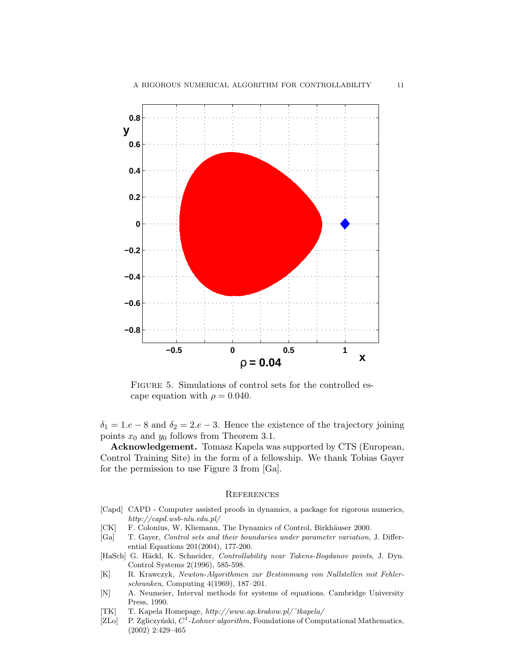

FIGURE 5. Simulations of control sets for the controlled escape equation with  $\rho = 0.040$ .

 $\delta_1 = 1.e - 8$  and  $\delta_2 = 2.e - 3$ . Hence the existence of the trajectory joining points  $x_0$  and  $y_0$  follows from Theorem 3.1.

Acknowledgement. Tomasz Kapela was supported by CTS (European, Control Training Site) in the form of a fellowship. We thank Tobias Gayer for the permission to use Figure 3 from [Ga].

## **REFERENCES**

- [Capd] CAPD Computer assisted proofs in dynamics, a package for rigorous numerics, http://capd.wsb-nlu.edu.pl/
- [CK] F. Colonius, W. Kliemann, The Dynamics of Control, Birkhäuser 2000.
- [Ga] T. Gayer, Control sets and their boundaries under parameter variation, J. Differential Equations 201(2004), 177-200.
- [HaSch] G. Häckl, K. Schneider, Controllability near Takens-Bogdanov points, J. Dyn. Control Systems 2(1996), 585-598.
- [K] R. Krawczyk, Newton-Algorithmen zur Bestimmung von Nullstellen mit Fehlerschranken, Computing 4(1969), 187–201.
- [N] A. Neumeier, Interval methods for systems of equations. Cambridge University Press, 1990.
- [TK] T. Kapela Homepage, http://www.ap.krakow.pl/˜tkapela/
- [ZLo] P. Zgliczyński,  $C^1$ -Lohner algorithm, Foundations of Computational Mathematics, (2002) 2:429–465